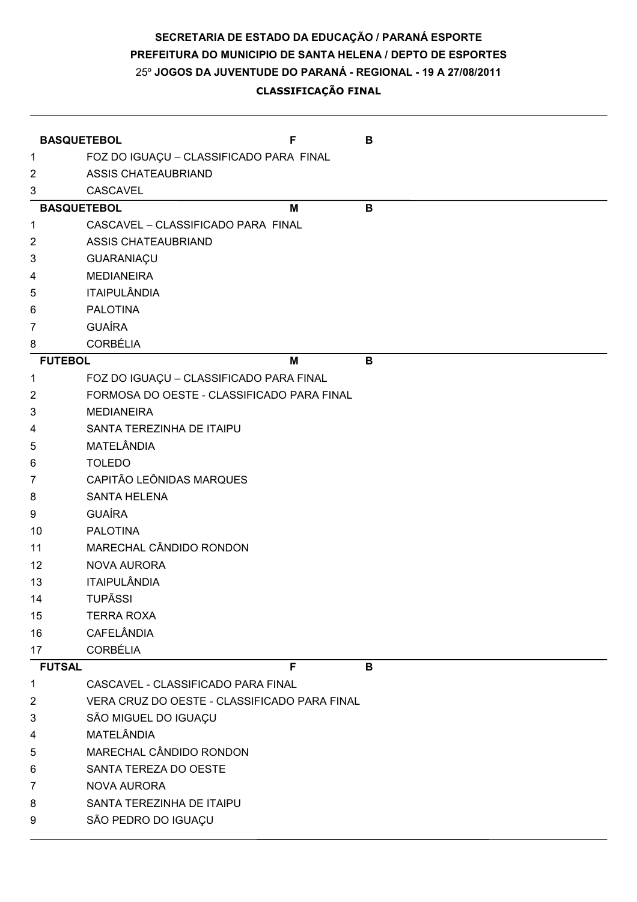## 25º JOGOS DA JUVENTUDE DO PARANÁ - REGIONAL - 19 A 27/08/2011 PREFEITURA DO MUNICIPIO DE SANTA HELENA / DEPTO DE ESPORTES SECRETARIA DE ESTADO DA EDUCAÇÃO / PARANÁ ESPORTE

## CLASSIFICAÇÃO FINAL

|                 | <b>BASQUETEBOL</b>                           | F | в |
|-----------------|----------------------------------------------|---|---|
| 1               | FOZ DO IGUAÇU - CLASSIFICADO PARA FINAL      |   |   |
| $\overline{2}$  | <b>ASSIS CHATEAUBRIAND</b>                   |   |   |
| 3               | <b>CASCAVEL</b>                              |   |   |
|                 | <b>BASQUETEBOL</b>                           | М | B |
| 1               | CASCAVEL - CLASSIFICADO PARA FINAL           |   |   |
| 2               | <b>ASSIS CHATEAUBRIAND</b>                   |   |   |
| 3               | GUARANIAÇU                                   |   |   |
| 4               | <b>MEDIANEIRA</b>                            |   |   |
| 5               | <b>ITAIPULÂNDIA</b>                          |   |   |
| 6               | <b>PALOTINA</b>                              |   |   |
| 7               | <b>GUAÍRA</b>                                |   |   |
| 8               | <b>CORBÉLIA</b>                              |   |   |
| <b>FUTEBOL</b>  |                                              | M | B |
| 1               | FOZ DO IGUAÇU - CLASSIFICADO PARA FINAL      |   |   |
| 2               | FORMOSA DO OESTE - CLASSIFICADO PARA FINAL   |   |   |
| 3               | <b>MEDIANEIRA</b>                            |   |   |
| 4               | SANTA TEREZINHA DE ITAIPU                    |   |   |
| 5               | MATELÂNDIA                                   |   |   |
| 6               | <b>TOLEDO</b>                                |   |   |
| 7               | CAPITÃO LEÔNIDAS MARQUES                     |   |   |
| 8               | <b>SANTA HELENA</b>                          |   |   |
| 9               | <b>GUAÍRA</b>                                |   |   |
| 10              | <b>PALOTINA</b>                              |   |   |
| 11              | MARECHAL CÂNDIDO RONDON                      |   |   |
| 12 <sup>2</sup> | <b>NOVA AURORA</b>                           |   |   |
| 13              | <b>ITAIPULÂNDIA</b>                          |   |   |
| 14              | <b>TUPÃSSI</b>                               |   |   |
| 15              | <b>TERRA ROXA</b>                            |   |   |
| 16              | <b>CAFELÂNDIA</b>                            |   |   |
| 17              | <b>CORBÉLIA</b>                              |   |   |
| <b>FUTSAL</b>   |                                              | F | B |
| 1               | CASCAVEL - CLASSIFICADO PARA FINAL           |   |   |
| 2               | VERA CRUZ DO OESTE - CLASSIFICADO PARA FINAL |   |   |
| 3               | SÃO MIGUEL DO IGUAÇU                         |   |   |
| 4               | <b>MATELÂNDIA</b>                            |   |   |
| 5               | MARECHAL CÂNDIDO RONDON                      |   |   |
| 6               | SANTA TEREZA DO OESTE                        |   |   |
| 7               | <b>NOVA AURORA</b>                           |   |   |
| 8               | SANTA TEREZINHA DE ITAIPU                    |   |   |
| 9               | SÃO PEDRO DO IGUAÇU                          |   |   |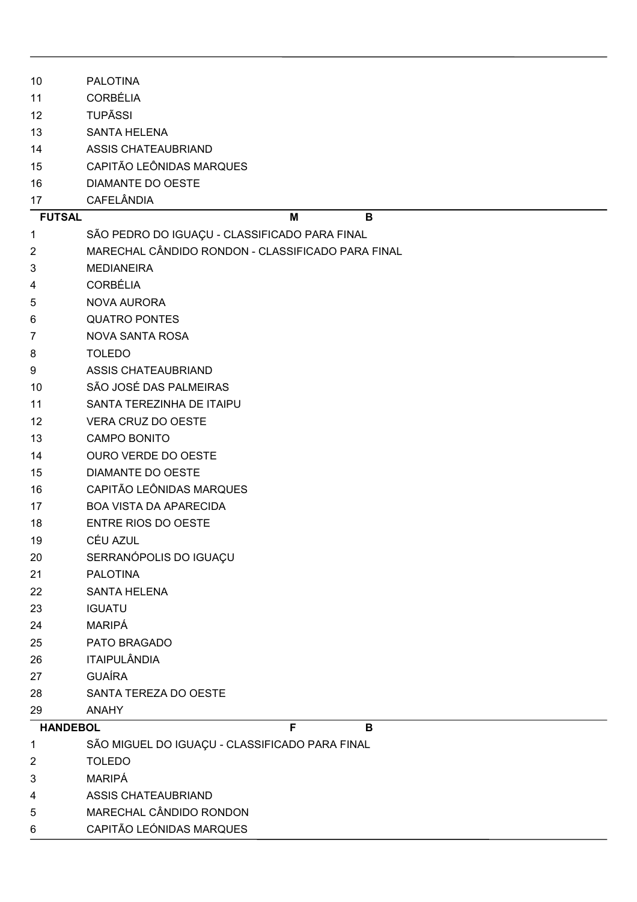| 10              | <b>PALOTINA</b>                                   |
|-----------------|---------------------------------------------------|
| 11              | <b>CORBÉLIA</b>                                   |
| 12              | <b>TUPÃSSI</b>                                    |
| 13              | <b>SANTA HELENA</b>                               |
| 14              | <b>ASSIS CHATEAUBRIAND</b>                        |
| 15              | CAPITÃO LEÔNIDAS MARQUES                          |
| 16              | <b>DIAMANTE DO OESTE</b>                          |
| 17              | <b>CAFELÂNDIA</b>                                 |
| <b>FUTSAL</b>   | B<br>M                                            |
| 1               | SÃO PEDRO DO IGUAÇU - CLASSIFICADO PARA FINAL     |
| 2               | MARECHAL CÂNDIDO RONDON - CLASSIFICADO PARA FINAL |
| 3               | <b>MEDIANEIRA</b>                                 |
| 4               | <b>CORBÉLIA</b>                                   |
| 5               | <b>NOVA AURORA</b>                                |
| 6               | <b>QUATRO PONTES</b>                              |
| 7               | <b>NOVA SANTA ROSA</b>                            |
| 8               | <b>TOLEDO</b>                                     |
| 9               | <b>ASSIS CHATEAUBRIAND</b>                        |
| 10              | SÃO JOSÉ DAS PALMEIRAS                            |
| 11              | SANTA TEREZINHA DE ITAIPU                         |
| 12              | VERA CRUZ DO OESTE                                |
| 13              | <b>CAMPO BONITO</b>                               |
| 14              | <b>OURO VERDE DO OESTE</b>                        |
| 15              | <b>DIAMANTE DO OESTE</b>                          |
| 16              | CAPITÃO LEÔNIDAS MARQUES                          |
| 17              | <b>BOA VISTA DA APARECIDA</b>                     |
| 18              | ENTRE RIOS DO OESTE                               |
| 19              | CÉU AZUL                                          |
| 20              | SERRANÓPOLIS DO IGUAÇU                            |
| 21              | <b>PALOTINA</b>                                   |
| 22              | <b>SANTA HELENA</b>                               |
| 23              | <b>IGUATU</b>                                     |
| 24              | MARIPÁ                                            |
| 25              | PATO BRAGADO                                      |
| 26              | <b>ITAIPULÂNDIA</b>                               |
| 27              | <b>GUAÍRA</b>                                     |
| 28              | SANTA TEREZA DO OESTE                             |
| 29              | <b>ANAHY</b>                                      |
| <b>HANDEBOL</b> | F<br>B                                            |
| 1               | SÃO MIGUEL DO IGUAÇU - CLASSIFICADO PARA FINAL    |
| $\overline{2}$  | <b>TOLEDO</b>                                     |
| 3               | MARIPÁ                                            |
| 4               | <b>ASSIS CHATEAUBRIAND</b>                        |
| 5               | MARECHAL CÂNDIDO RONDON                           |
| 6               | CAPITÃO LEÓNIDAS MARQUES                          |
|                 |                                                   |